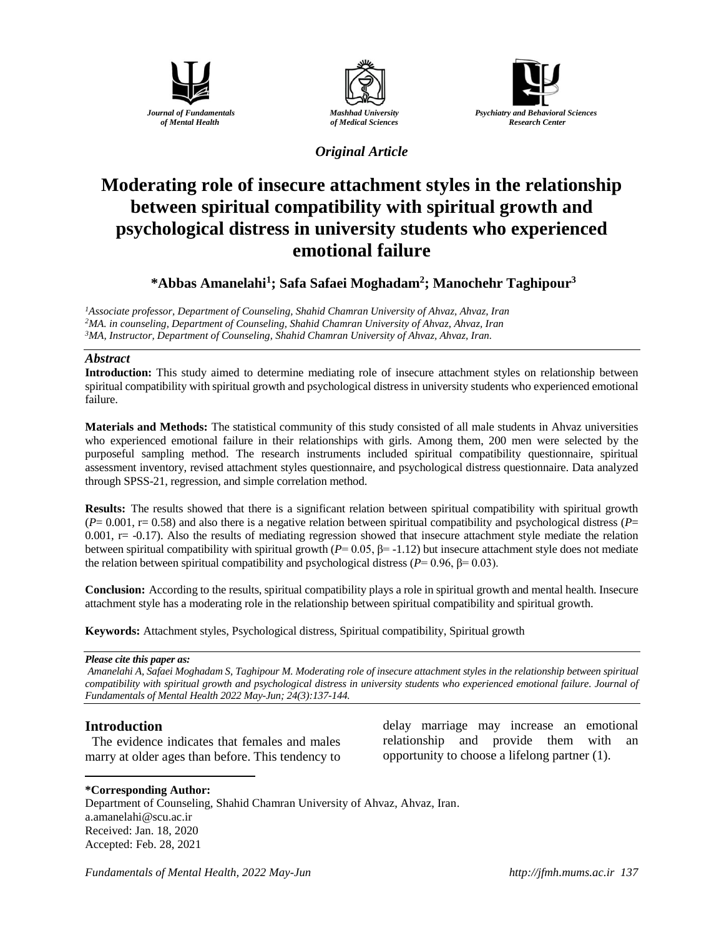





# *Original Article*

# **Moderating role of insecure attachment styles in the relationship between spiritual compatibility with spiritual growth and psychological distress in university students who experienced emotional failure**

# **\*Abbas [Amanelahi](https://jfmh.mums.ac.ir/?_action=article&au=215613&_au=Yaghoob++Raissi+Ahvan&lang=en)<sup>1</sup> ; Safa Safaei Moghadam<sup>2</sup> ; Manochehr Taghipour<sup>3</sup>**

*<sup>1</sup>Associate professor, Department of Counseling, Shahid Chamran University of Ahvaz, Ahvaz, Iran <sup>2</sup>MA. in counseling, Department of Counseling, Shahid Chamran University of Ahvaz, Ahvaz, Iran <sup>3</sup>MA, Instructor, Department of Counseling, Shahid Chamran University of Ahvaz, Ahvaz, Iran.*

#### *Abstract*

**Introduction:** This study aimed to determine mediating role of insecure attachment styles on relationship between spiritual compatibility with spiritual growth and psychological distress in university students who experienced emotional failure.

**Materials and Methods:** The statistical community of this study consisted of all male students in Ahvaz universities who experienced emotional failure in their relationships with girls. Among them, 200 men were selected by the purposeful sampling method. The research instruments included spiritual compatibility questionnaire, spiritual assessment inventory, revised attachment styles questionnaire, and psychological distress questionnaire. Data analyzed through SPSS-21, regression, and simple correlation method.

**Results:** The results showed that there is a significant relation between spiritual compatibility with spiritual growth  $(P= 0.001$ , r= 0.58) and also there is a negative relation between spiritual compatibility and psychological distress ( $P=$  $0.001$ ,  $r = -0.17$ ). Also the results of mediating regression showed that insecure attachment style mediate the relation between spiritual compatibility with spiritual growth  $(P= 0.05, \beta = -1.12)$  but insecure attachment style does not mediate the relation between spiritual compatibility and psychological distress ( $P = 0.96$ ,  $\beta = 0.03$ ).

**Conclusion:** According to the results, spiritual compatibility plays a role in spiritual growth and mental health. Insecure attachment style has a moderating role in the relationship between spiritual compatibility and spiritual growth.

**Keywords:** Attachment styles, Psychological distress, Spiritual compatibility, Spiritual growth

#### *Please cite this paper as:*

*[Amanelahi](https://jfmh.mums.ac.ir/?_action=article&au=215613&_au=Yaghoob++Raissi+Ahvan&lang=en) A, Safaei Moghadam S, Taghipour M. Moderating role of insecure attachment styles in the relationship between spiritual compatibility with spiritual growth and psychological distress in university students who experienced emotional failure. Journal of Fundamentals of Mental Health 2022 May-Jun; 24(3):137-144.*

## **Introduction**

 $\overline{a}$ 

The evidence indicates that females and males marry at older ages than before. This tendency to delay marriage may increase an emotional relationship and provide them with an opportunity to choose a lifelong partner (1).

#### **\*Corresponding Author:**

Department of Counseling, Shahid Chamran University of Ahvaz, Ahvaz, Iran. a.amanelahi@scu.ac.ir Received: Jan. 18, 2020 Accepted: Feb. 28, 2021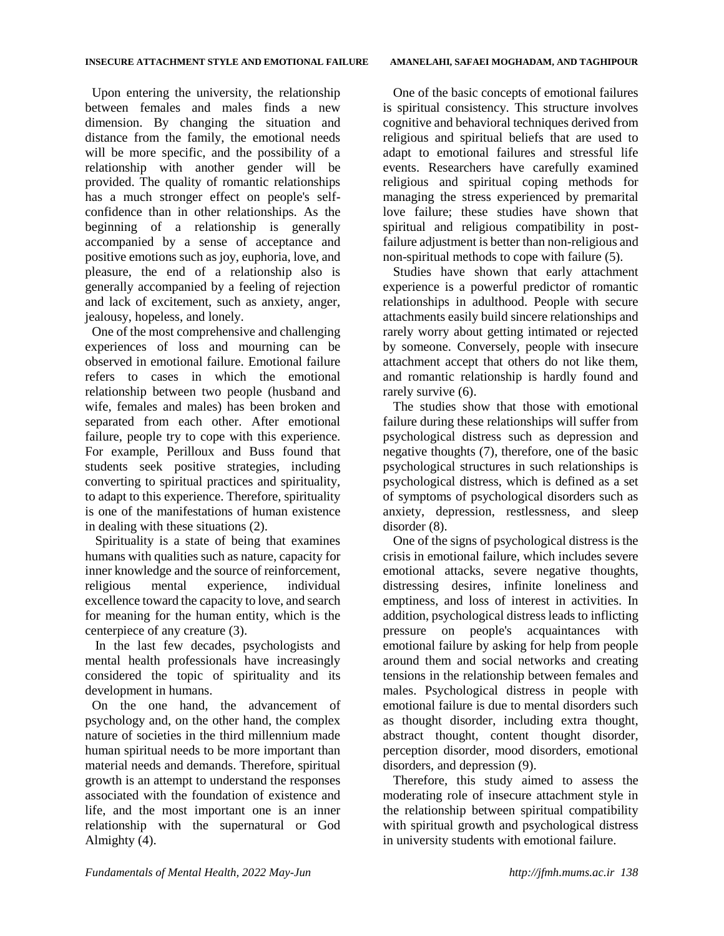Upon entering the university, the relationship between females and males finds a new dimension. By changing the situation and distance from the family, the emotional needs will be more specific, and the possibility of a relationship with another gender will be provided. The quality of romantic relationships has a much stronger effect on people's selfconfidence than in other relationships. As the beginning of a relationship is generally accompanied by a sense of acceptance and positive emotions such as joy, euphoria, love, and pleasure, the end of a relationship also is generally accompanied by a feeling of rejection and lack of excitement, such as anxiety, anger, jealousy, hopeless, and lonely.

One of the most comprehensive and challenging experiences of loss and mourning can be observed in emotional failure. Emotional failure refers to cases in which the emotional relationship between two people (husband and wife, females and males) has been broken and separated from each other. After emotional failure, people try to cope with this experience. For example, Perilloux and Buss found that students seek positive strategies, including converting to spiritual practices and spirituality, to adapt to this experience. Therefore, spirituality is one of the manifestations of human existence in dealing with these situations (2).

Spirituality is a state of being that examines humans with qualities such as nature, capacity for inner knowledge and the source of reinforcement, religious mental experience, individual excellence toward the capacity to love, and search for meaning for the human entity, which is the centerpiece of any creature (3).

In the last few decades, psychologists and mental health professionals have increasingly considered the topic of spirituality and its development in humans.

On the one hand, the advancement of psychology and, on the other hand, the complex nature of societies in the third millennium made human spiritual needs to be more important than material needs and demands. Therefore, spiritual growth is an attempt to understand the responses associated with the foundation of existence and life, and the most important one is an inner relationship with the supernatural or God Almighty (4).

One of the basic concepts of emotional failures is spiritual consistency. This structure involves cognitive and behavioral techniques derived from religious and spiritual beliefs that are used to adapt to emotional failures and stressful life events. Researchers have carefully examined religious and spiritual coping methods for managing the stress experienced by premarital love failure; these studies have shown that spiritual and religious compatibility in postfailure adjustment is better than non-religious and non-spiritual methods to cope with failure (5).

Studies have shown that early attachment experience is a powerful predictor of romantic relationships in adulthood. People with secure attachments easily build sincere relationships and rarely worry about getting intimated or rejected by someone. Conversely, people with insecure attachment accept that others do not like them, and romantic relationship is hardly found and rarely survive  $(6)$ .

The studies show that those with emotional failure during these relationships will suffer from psychological distress such as depression and negative thoughts (7), therefore, one of the basic psychological structures in such relationships is psychological distress, which is defined as a set of symptoms of psychological disorders such as anxiety, depression, restlessness, and sleep disorder (8).

One of the signs of psychological distress is the crisis in emotional failure, which includes severe emotional attacks, severe negative thoughts, distressing desires, infinite loneliness and emptiness, and loss of interest in activities. In addition, psychological distress leads to inflicting pressure on people's acquaintances with emotional failure by asking for help from people around them and social networks and creating tensions in the relationship between females and males. Psychological distress in people with emotional failure is due to mental disorders such as thought disorder, including extra thought, abstract thought, content thought disorder, perception disorder, mood disorders, emotional disorders, and depression (9).

Therefore, this study aimed to assess the moderating role of insecure attachment style in the relationship between spiritual compatibility with spiritual growth and psychological distress in university students with emotional failure.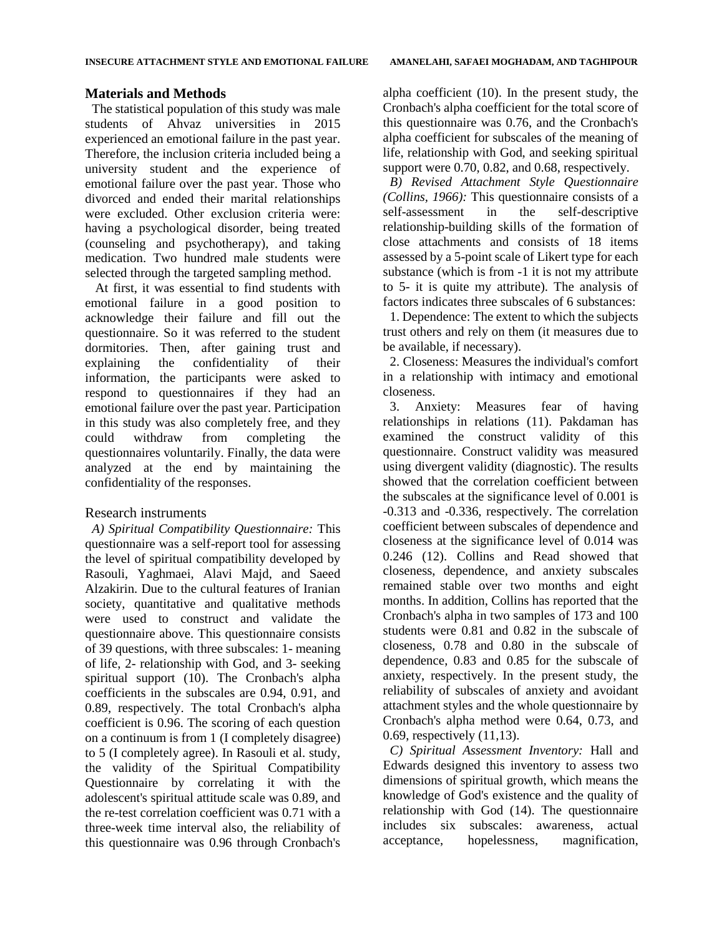#### **Materials and Methods**

The statistical population of this study was male students of Ahvaz universities in 2015 experienced an emotional failure in the past year. Therefore, the inclusion criteria included being a university student and the experience of emotional failure over the past year. Those who divorced and ended their marital relationships were excluded. Other exclusion criteria were: having a psychological disorder, being treated (counseling and psychotherapy), and taking medication. Two hundred male students were selected through the targeted sampling method.

At first, it was essential to find students with emotional failure in a good position to acknowledge their failure and fill out the questionnaire. So it was referred to the student dormitories. Then, after gaining trust and explaining the confidentiality of their information, the participants were asked to respond to questionnaires if they had an emotional failure over the past year. Participation in this study was also completely free, and they could withdraw from completing the questionnaires voluntarily. Finally, the data were analyzed at the end by maintaining the confidentiality of the responses.

## Research instruments

*A) Spiritual Compatibility Questionnaire:* This questionnaire was a self-report tool for assessing the level of spiritual compatibility developed by Rasouli, Yaghmaei, Alavi Majd, and Saeed Alzakirin. Due to the cultural features of Iranian society, quantitative and qualitative methods were used to construct and validate the questionnaire above. This questionnaire consists of 39 questions, with three subscales: 1- meaning of life, 2- relationship with God, and 3- seeking spiritual support (10). The Cronbach's alpha coefficients in the subscales are 0.94, 0.91, and 0.89, respectively. The total Cronbach's alpha coefficient is 0.96. The scoring of each question on a continuum is from 1 (I completely disagree) to 5 (I completely agree). In Rasouli et al. study, the validity of the Spiritual Compatibility Questionnaire by correlating it with the adolescent's spiritual attitude scale was 0.89, and the re-test correlation coefficient was 0.71 with a three-week time interval also, the reliability of this questionnaire was 0.96 through Cronbach's

alpha coefficient (10). In the present study, the Cronbach's alpha coefficient for the total score of this questionnaire was 0.76, and the Cronbach's alpha coefficient for subscales of the meaning of life, relationship with God, and seeking spiritual support were 0.70, 0.82, and 0.68, respectively.

*B) Revised Attachment Style Questionnaire (Collins, 1966):* This questionnaire consists of a self-assessment in the self-descriptive relationship-building skills of the formation of close attachments and consists of 18 items assessed by a 5-point scale of Likert type for each substance (which is from -1 it is not my attribute to 5- it is quite my attribute). The analysis of factors indicates three subscales of 6 substances:

1. Dependence: The extent to which the subjects trust others and rely on them (it measures due to be available, if necessary).

2. Closeness: Measures the individual's comfort in a relationship with intimacy and emotional closeness.

3. Anxiety: Measures fear of having relationships in relations (11). Pakdaman has examined the construct validity of this questionnaire. Construct validity was measured using divergent validity (diagnostic). The results showed that the correlation coefficient between the subscales at the significance level of 0.001 is -0.313 and -0.336, respectively. The correlation coefficient between subscales of dependence and closeness at the significance level of 0.014 was 0.246 (12). Collins and Read showed that closeness, dependence, and anxiety subscales remained stable over two months and eight months. In addition, Collins has reported that the Cronbach's alpha in two samples of 173 and 100 students were 0.81 and 0.82 in the subscale of closeness, 0.78 and 0.80 in the subscale of dependence, 0.83 and 0.85 for the subscale of anxiety, respectively. In the present study, the reliability of subscales of anxiety and avoidant attachment styles and the whole questionnaire by Cronbach's alpha method were 0.64, 0.73, and 0.69, respectively (11,13).

*C) Spiritual Assessment Inventory:* Hall and Edwards designed this inventory to assess two dimensions of spiritual growth, which means the knowledge of God's existence and the quality of relationship with God (14). The questionnaire includes six subscales: awareness, actual acceptance, hopelessness, magnification,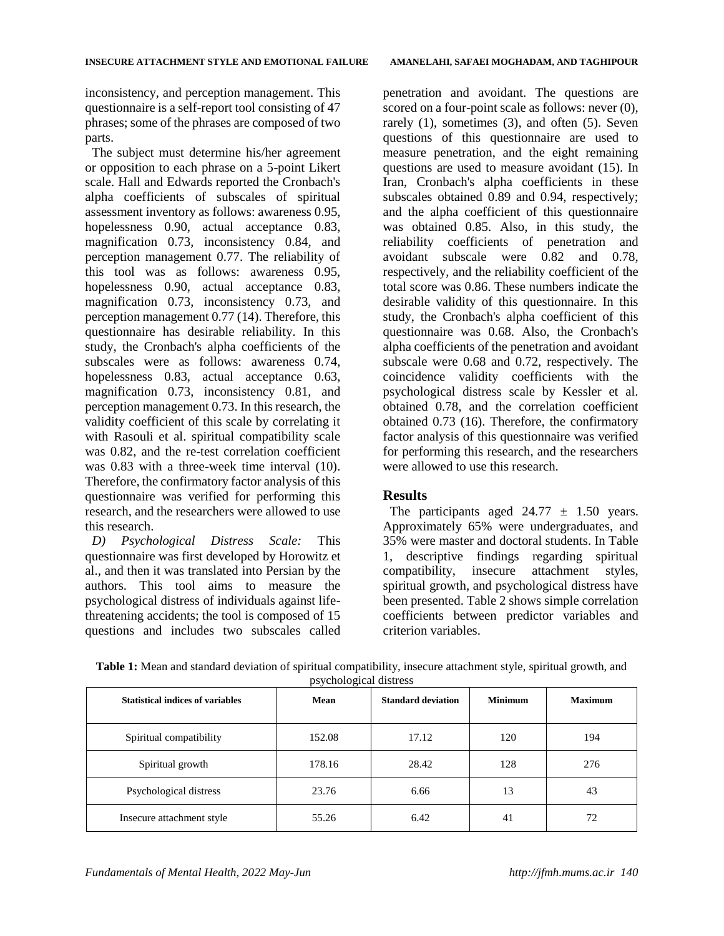inconsistency, and perception management. This questionnaire is a self-report tool consisting of 47 phrases; some of the phrases are composed of two parts.

The subject must determine his/her agreement or opposition to each phrase on a 5-point Likert scale. Hall and Edwards reported the Cronbach's alpha coefficients of subscales of spiritual assessment inventory as follows: awareness 0.95, hopelessness 0.90, actual acceptance 0.83, magnification 0.73, inconsistency 0.84, and perception management 0.77. The reliability of this tool was as follows: awareness 0.95, hopelessness 0.90, actual acceptance 0.83, magnification 0.73, inconsistency 0.73, and perception management 0.77 (14). Therefore, this questionnaire has desirable reliability. In this study, the Cronbach's alpha coefficients of the subscales were as follows: awareness 0.74, hopelessness 0.83, actual acceptance 0.63, magnification 0.73, inconsistency 0.81, and perception management 0.73. In this research, the validity coefficient of this scale by correlating it with Rasouli et al. spiritual compatibility scale was 0.82, and the re-test correlation coefficient was 0.83 with a three-week time interval (10). Therefore, the confirmatory factor analysis of this questionnaire was verified for performing this research, and the researchers were allowed to use this research.

*D) Psychological Distress Scale:* This questionnaire was first developed by Horowitz et al., and then it was translated into Persian by the authors. This tool aims to measure the psychological distress of individuals against lifethreatening accidents; the tool is composed of 15 questions and includes two subscales called penetration and avoidant. The questions are scored on a four-point scale as follows: never  $(0)$ , rarely (1), sometimes (3), and often (5). Seven questions of this questionnaire are used to measure penetration, and the eight remaining questions are used to measure avoidant (15). In Iran, Cronbach's alpha coefficients in these subscales obtained 0.89 and 0.94, respectively; and the alpha coefficient of this questionnaire was obtained 0.85. Also, in this study, the reliability coefficients of penetration and avoidant subscale were 0.82 and 0.78, respectively, and the reliability coefficient of the total score was 0.86. These numbers indicate the desirable validity of this questionnaire. In this study, the Cronbach's alpha coefficient of this questionnaire was 0.68. Also, the Cronbach's alpha coefficients of the penetration and avoidant subscale were 0.68 and 0.72, respectively. The coincidence validity coefficients with the psychological distress scale by Kessler et al. obtained 0.78, and the correlation coefficient obtained 0.73 (16). Therefore, the confirmatory factor analysis of this questionnaire was verified for performing this research, and the researchers were allowed to use this research.

# **Results**

The participants aged  $24.77 \pm 1.50$  years. Approximately 65% were undergraduates, and 35% were master and doctoral students. In Table 1, descriptive findings regarding spiritual compatibility, insecure attachment styles, spiritual growth, and psychological distress have been presented. Table 2 shows simple correlation coefficients between predictor variables and criterion variables.

| <b>Statistical indices of variables</b> | Mean   | <b>Standard deviation</b> | <b>Minimum</b> | <b>Maximum</b> |
|-----------------------------------------|--------|---------------------------|----------------|----------------|
| Spiritual compatibility                 | 152.08 | 17.12                     | 120            | 194            |
| Spiritual growth                        | 178.16 | 28.42                     | 128            | 276            |
| Psychological distress                  | 23.76  | 6.66                      | 13             | 43             |
| Insecure attachment style               | 55.26  | 6.42                      | 41             | 72             |

**Table 1:** Mean and standard deviation of spiritual compatibility, insecure attachment style, spiritual growth, and psychological distress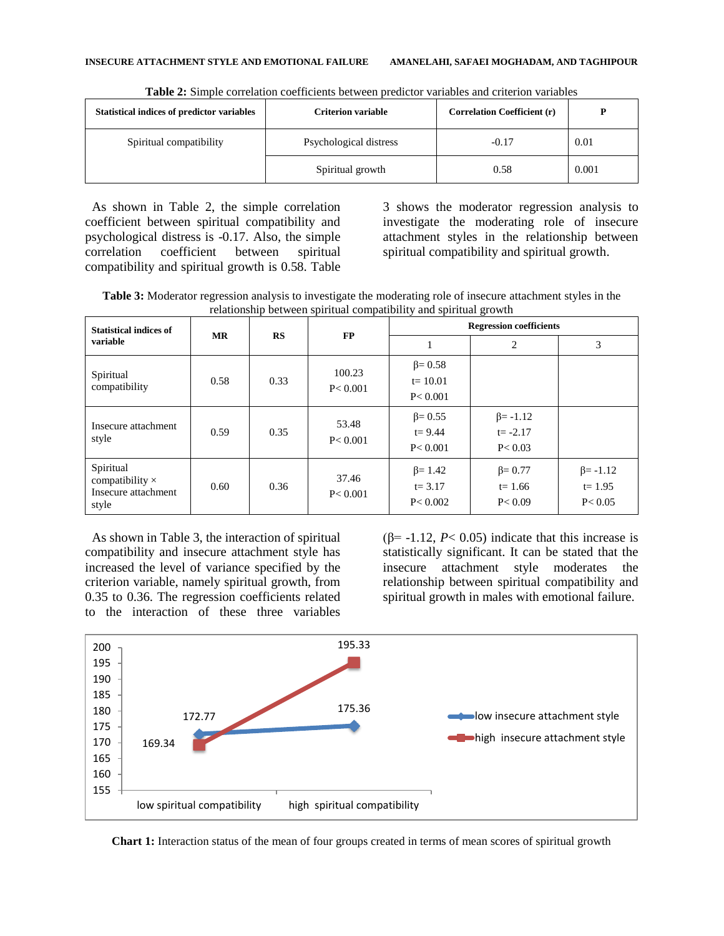| <b>Statistical indices of predictor variables</b> | <b>Criterion variable</b> | <b>Correlation Coefficient (r)</b> | D     |
|---------------------------------------------------|---------------------------|------------------------------------|-------|
| Spiritual compatibility                           | Psychological distress    | $-0.17$                            | 0.01  |
|                                                   | Spiritual growth          | 0.58                               | 0.001 |

**Table 2:** Simple correlation coefficients between predictor variables and criterion variables

As shown in Table 2, the simple correlation coefficient between spiritual compatibility and psychological distress is -0.17. Also, the simple correlation coefficient between spiritual compatibility and spiritual growth is 0.58. Table 3 shows the moderator regression analysis to investigate the moderating role of insecure attachment styles in the relationship between spiritual compatibility and spiritual growth.

**Table 3:** Moderator regression analysis to investigate the moderating role of insecure attachment styles in the relationship between spiritual compatibility and spiritual growth

| <b>Statistical indices of</b><br>variable                           | <b>MR</b> | RS   | <b>FP</b>           | <b>Regression coefficients</b>             |                                            |                                           |
|---------------------------------------------------------------------|-----------|------|---------------------|--------------------------------------------|--------------------------------------------|-------------------------------------------|
|                                                                     |           |      |                     |                                            | 2                                          | 3                                         |
| Spiritual<br>compatibility                                          | 0.58      | 0.33 | 100.23<br>P < 0.001 | $\beta = 0.58$<br>$t = 10.01$<br>P < 0.001 |                                            |                                           |
| Insecure attachment<br>style                                        | 0.59      | 0.35 | 53.48<br>P < 0.001  | $\beta = 0.55$<br>$t = 9.44$<br>P < 0.001  | $\beta$ = -1.12<br>$t = -2.17$<br>P < 0.03 |                                           |
| Spiritual<br>compatibility $\times$<br>Insecure attachment<br>style | 0.60      | 0.36 | 37.46<br>P < 0.001  | $\beta = 1.42$<br>$t = 3.17$<br>P < 0.002  | $\beta = 0.77$<br>$t = 1.66$<br>P < 0.09   | $\beta$ = -1.12<br>$t = 1.95$<br>P < 0.05 |

As shown in Table 3, the interaction of spiritual compatibility and insecure attachment style has increased the level of variance specified by the criterion variable, namely spiritual growth, from 0.35 to 0.36. The regression coefficients related to the interaction of these three variables

( $\beta$ = -1.12, *P*< 0.05) indicate that this increase is statistically significant. It can be stated that the insecure attachment style moderates the relationship between spiritual compatibility and spiritual growth in males with emotional failure.



**Chart 1:** Interaction status of the mean of four groups created in terms of mean scores of spiritual growth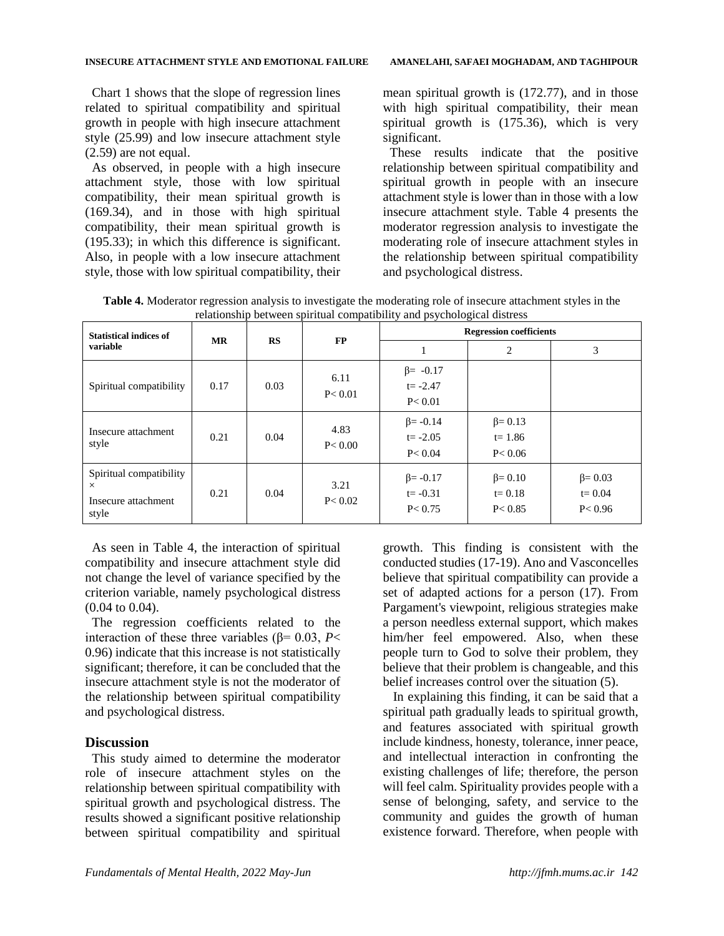Chart 1 shows that the slope of regression lines related to spiritual compatibility and spiritual growth in people with high insecure attachment style (25.99) and low insecure attachment style (2.59) are not equal.

As observed, in people with a high insecure attachment style, those with low spiritual compatibility, their mean spiritual growth is (169.34), and in those with high spiritual compatibility, their mean spiritual growth is (195.33); in which this difference is significant. Also, in people with a low insecure attachment style, those with low spiritual compatibility, their

mean spiritual growth is (172.77), and in those with high spiritual compatibility, their mean spiritual growth is (175.36), which is very significant.

These results indicate that the positive relationship between spiritual compatibility and spiritual growth in people with an insecure attachment style is lower than in those with a low insecure attachment style. Table 4 presents the moderator regression analysis to investigate the moderating role of insecure attachment styles in the relationship between spiritual compatibility and psychological distress.

**Table 4.** Moderator regression analysis to investigate the moderating role of insecure attachment styles in the relationship between spiritual compatibility and psychological distress

|                                           |           |      | relationship occured spiritual compatibility and psychological distress |                                |                |                |
|-------------------------------------------|-----------|------|-------------------------------------------------------------------------|--------------------------------|----------------|----------------|
| <b>Statistical indices of</b><br>variable | <b>MR</b> | RS   | FP                                                                      | <b>Regression coefficients</b> |                |                |
|                                           |           |      |                                                                         |                                | 2              | 3              |
| Spiritual compatibility                   | 0.17      | 0.03 | 6.11<br>P < 0.01                                                        | $\beta$ = -0.17                |                |                |
|                                           |           |      |                                                                         | $t = -2.47$                    |                |                |
|                                           |           |      |                                                                         | P < 0.01                       |                |                |
| Insecure attachment<br>style              | 0.21      | 0.04 | 4.83<br>P < 0.00                                                        | $\beta$ = -0.14                | $\beta = 0.13$ |                |
|                                           |           |      |                                                                         | $t = -2.05$                    | $t = 1.86$     |                |
|                                           |           |      |                                                                         | P < 0.04                       | P < 0.06       |                |
| Spiritual compatibility                   |           |      | 3.21<br>P < 0.02                                                        | $\beta = -0.17$                | $\beta = 0.10$ | $\beta = 0.03$ |
| X                                         | 0.21      | 0.04 |                                                                         | $t = -0.31$                    | $t = 0.18$     | $t = 0.04$     |
| Insecure attachment<br>style              |           |      |                                                                         | P < 0.75                       | P < 0.85       | P < 0.96       |

As seen in Table 4, the interaction of spiritual compatibility and insecure attachment style did not change the level of variance specified by the criterion variable, namely psychological distress (0.04 to 0.04).

The regression coefficients related to the interaction of these three variables ( $β = 0.03$ , *P*< 0.96) indicate that this increase is not statistically significant; therefore, it can be concluded that the insecure attachment style is not the moderator of the relationship between spiritual compatibility and psychological distress.

# **Discussion**

This study aimed to determine the moderator role of insecure attachment styles on the relationship between spiritual compatibility with spiritual growth and psychological distress. The results showed a significant positive relationship between spiritual compatibility and spiritual growth. This finding is consistent with the conducted studies (17-19). Ano and Vasconcelles believe that spiritual compatibility can provide a set of adapted actions for a person (17). From Pargament's viewpoint, religious strategies make a person needless external support, which makes him/her feel empowered. Also, when these people turn to God to solve their problem, they believe that their problem is changeable, and this belief increases control over the situation (5).

In explaining this finding, it can be said that a spiritual path gradually leads to spiritual growth, and features associated with spiritual growth include kindness, honesty, tolerance, inner peace, and intellectual interaction in confronting the existing challenges of life; therefore, the person will feel calm. Spirituality provides people with a sense of belonging, safety, and service to the community and guides the growth of human existence forward. Therefore, when people with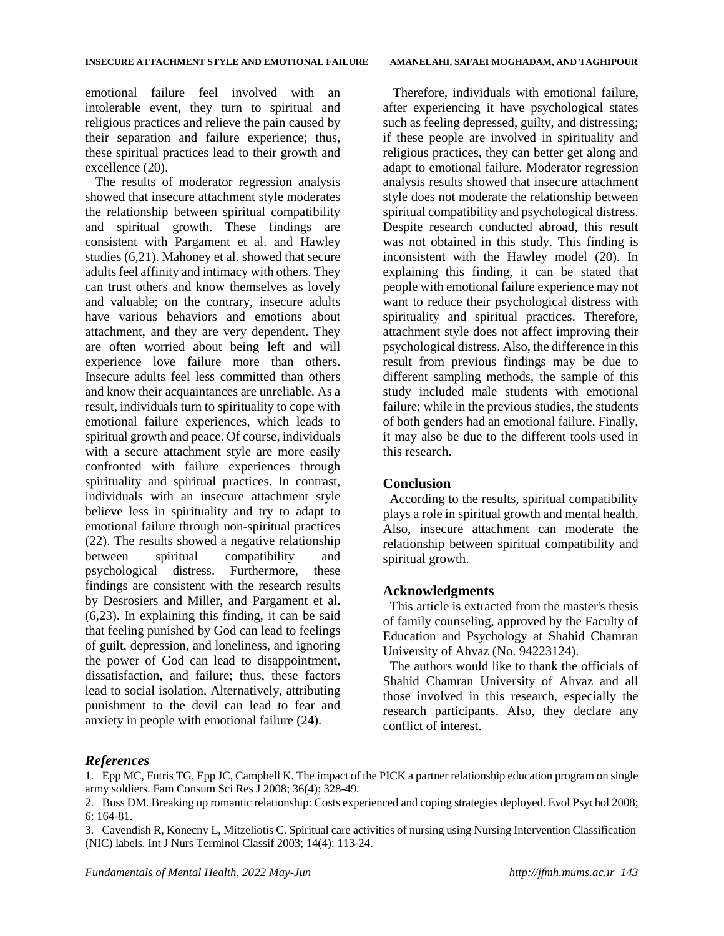emotional failure feel involved with an intolerable event, they turn to spiritual and religious practices and relieve the pain caused by their separation and failure experience; thus, these spiritual practices lead to their growth and excellence (20).

The results of moderator regression analysis showed that insecure attachment style moderates the relationship between spiritual compatibility and spiritual growth. These findings are consistent with Pargament et al. and Hawley studies (6,21). Mahoney et al. showed that secure adults feel affinity and intimacy with others. They can trust others and know themselves as lovely and valuable; on the contrary, insecure adults have various behaviors and emotions about attachment, and they are very dependent. They are often worried about being left and will experience love failure more than others. Insecure adults feel less committed than others and know their acquaintances are unreliable. As a result, individuals turn to spirituality to cope with emotional failure experiences, which leads to spiritual growth and peace. Of course, individuals with a secure attachment style are more easily confronted with failure experiences through spirituality and spiritual practices. In contrast, individuals with an insecure attachment style believe less in spirituality and try to adapt to emotional failure through non-spiritual practices (22). The results showed a negative relationship between spiritual compatibility and psychological distress. Furthermore, these findings are consistent with the research results by Desrosiers and Miller, and Pargament et al. (6,23). In explaining this finding, it can be said that feeling punished by God can lead to feelings of guilt, depression, and loneliness, and ignoring the power of God can lead to disappointment, dissatisfaction, and failure; thus, these factors lead to social isolation. Alternatively, attributing punishment to the devil can lead to fear and anxiety in people with emotional failure (24).

Therefore, individuals with emotional failure, after experiencing it have psychological states such as feeling depressed, guilty, and distressing; if these people are involved in spirituality and religious practices, they can better get along and adapt to emotional failure. Moderator regression analysis results showed that insecure attachment style does not moderate the relationship between spiritual compatibility and psychological distress. Despite research conducted abroad, this result was not obtained in this study. This finding is inconsistent with the Hawley model (20). In explaining this finding, it can be stated that people with emotional failure experience may not want to reduce their psychological distress with spirituality and spiritual practices. Therefore, attachment style does not affect improving their psychological distress. Also, the difference in this result from previous findings may be due to different sampling methods, the sample of this study included male students with emotional failure; while in the previous studies, the students of both genders had an emotional failure. Finally, it may also be due to the different tools used in this research.

## **Conclusion**

According to the results, spiritual compatibility plays a role in spiritual growth and mental health. Also, insecure attachment can moderate the relationship between spiritual compatibility and spiritual growth.

#### **Acknowledgments**

This article is extracted from the master's thesis of family counseling, approved by the Faculty of Education and Psychology at Shahid Chamran University of Ahvaz (No. 94223124).

The authors would like to thank the officials of Shahid Chamran University of Ahvaz and all those involved in this research, especially the research participants. Also, they declare any conflict of interest.

#### *References*

1. Epp MC, Futris TG, Epp JC, Campbell K. The impact of the PICK a partner relationship education program on single army soldiers. Fam Consum Sci Res J 2008; 36(4): 328-49.

<sup>2.</sup> Buss DM. Breaking up romantic relationship: Costs experienced and coping strategies deployed. Evol Psychol 2008; 6: 164-81.

<sup>3.</sup> Cavendish R, Konecny L, Mitzeliotis C. Spiritual care activities of nursing using Nursing Intervention Classification (NIC) labels. Int J Nurs Terminol Classif 2003; 14(4): 113-24.